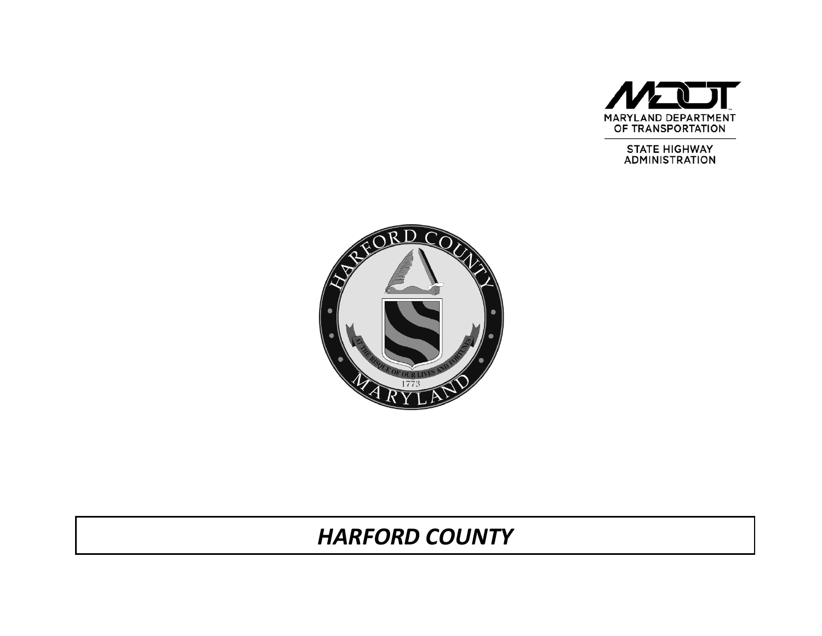

STATE HIGHWAY<br>ADMINISTRATION



# *HARFORD COUNTY*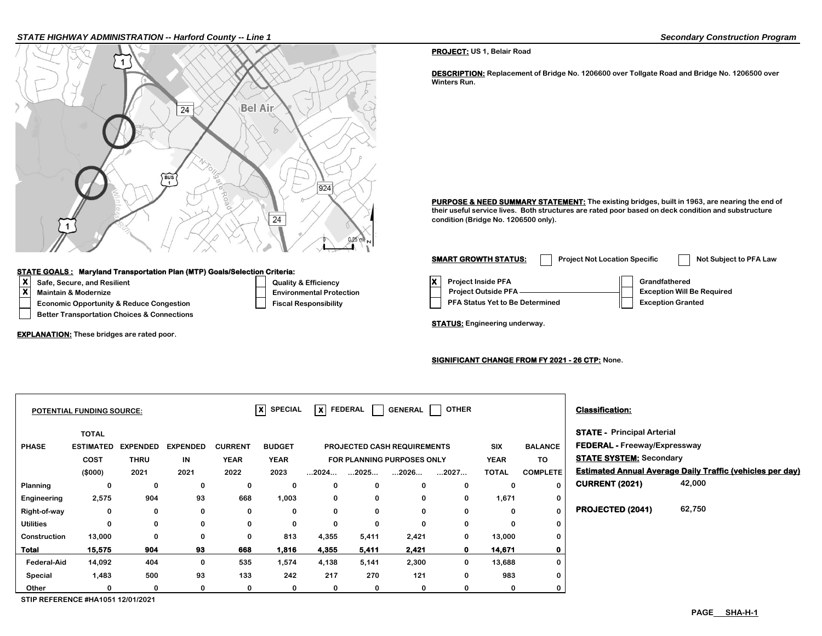#### *STATE HIGHWAY ADMINISTRATION -- Harford County -- Line 1 Secondary Construction Program*



#### **STATE GOALS : Maryland Transportation Plan (MTP) Goals/Selection Criteria:**

- 
- 
- **Economic Opportunity & Reduce Congestion Fiscal Responsibility A Status Yet Algebra**
- **Better Transportation Choices & Connections**

**EXPLANATION: These bridges are rated poor.** 

## **X** Safe, Secure, and Resilient **COVID-10** Quality & Efficiency **X**<br> **X** Protection **Protect Installers** Environmental Prote **Maintain & Modernize Environmental Protection Provide Protection Profession Project Outside PFA Exception Profession**

**PROJECT: US 1, Belair Road**

**DESCRIPTION: Replacement of Bridge No. 1206600 over Tollgate Road and Bridge No. 1206500 over Winters Run.**

PURPOSE & NEED SUMMARY STATEMENT: The existing bridges, built in 1963, are nearing the end of **their useful service lives. Both structures are rated poor based on deck condition and substructure condition (Bridge No. 1206500 only).**

| <b>SMART GROWTH STATUS:</b>                                                                | <b>Project Not Location Specific</b> | Not Subject to PFA Law                                                         |
|--------------------------------------------------------------------------------------------|--------------------------------------|--------------------------------------------------------------------------------|
| <b>Project Inside PFA</b><br><b>Project Outside PFA</b><br>PFA Status Yet to Be Determined |                                      | Grandfathered<br><b>Exception Will Be Required</b><br><b>Exception Granted</b> |

**STATUS: Engineering underway.**

#### **SIGNIFICANT CHANGE FROM FY 2021 - 26 CTP: None.**

|                    | <b>POTENTIAL FUNDING SOURCE:</b> |                 |                 |                | $ x $ SPECIAL |                      | $\overline{\mathsf{x}}$ Federal | GENERAL                            | <b>OTHER</b> |              |                 | <b>Classification:</b>              |                                                                  |
|--------------------|----------------------------------|-----------------|-----------------|----------------|---------------|----------------------|---------------------------------|------------------------------------|--------------|--------------|-----------------|-------------------------------------|------------------------------------------------------------------|
|                    | <b>TOTAL</b>                     |                 |                 |                |               |                      |                                 |                                    |              |              |                 | <b>STATE - Principal Arterial</b>   |                                                                  |
| <b>PHASE</b>       | <b>ESTIMATED</b>                 | <b>EXPENDED</b> | <b>EXPENDED</b> | <b>CURRENT</b> | <b>BUDGET</b> |                      |                                 | <b>PROJECTED CASH REQUIREMENTS</b> |              | <b>SIX</b>   | <b>BALANCE</b>  | <b>FEDERAL - Freeway/Expressway</b> |                                                                  |
|                    | COST                             | <b>THRU</b>     | IN              | <b>YEAR</b>    | <b>YEAR</b>   |                      |                                 | FOR PLANNING PURPOSES ONLY         |              | <b>YEAR</b>  | <b>TO</b>       | <b>STATE SYSTEM: Secondary</b>      |                                                                  |
|                    | (\$000)                          | 2021            | 2021            | 2022           | 2023          | $\dots$ 2024 $\dots$ | 2025                            | 2026                               | 2027         | <b>TOTAL</b> | <b>COMPLETE</b> |                                     | <b>Estimated Annual Average Daily Traffic (vehicles per day)</b> |
| Planning           | 0                                | 0               | 0               | 0              | 0             | 0                    | 0                               | 0                                  | 0            | 0            | $\mathbf{0}$    | <b>CURRENT (2021)</b>               | 42,000                                                           |
| Engineering        | 2,575                            | 904             | 93              | 668            | 1,003         | 0                    | 0                               | 0                                  | 0            | 1,671        | $\mathbf 0$     |                                     |                                                                  |
| Right-of-way       | 0                                | 0               | 0               | 0              | 0             | $\mathbf{0}$         | 0                               | 0                                  | 0            | $\bf{0}$     | $\bf{0}$        | PROJECTED (2041)                    | 62,750                                                           |
| <b>Utilities</b>   | 0                                | 0               | 0               | 0              | 0             | $\mathbf{0}$         | 0                               | $\Omega$                           | 0            | 0            | 0               |                                     |                                                                  |
| Construction       | 13,000                           | 0               | 0               | $\mathbf 0$    | 813           | 4,355                | 5,411                           | 2,421                              | 0            | 13,000       | 0               |                                     |                                                                  |
| <b>Total</b>       | 15,575                           | 904             | 93              | 668            | 1,816         | 4,355                | 5,411                           | 2,421                              | $\mathbf 0$  | 14,671       | $\mathbf 0$     |                                     |                                                                  |
| <b>Federal-Aid</b> | 14,092                           | 404             | 0               | 535            | 1,574         | 4,138                | 5,141                           | 2,300                              | 0            | 13,688       | 0               |                                     |                                                                  |
| Special            | 1,483                            | 500             | 93              | 133            | 242           | 217                  | 270                             | 121                                | 0            | 983          | 0               |                                     |                                                                  |
| Other              | 0                                | 0               | 0               | 0              | 0             | 0                    | 0                               | 0                                  | 0            | 0            | $\mathbf 0$     |                                     |                                                                  |

**STIP REFERENCE #HA1051 12/01/2021**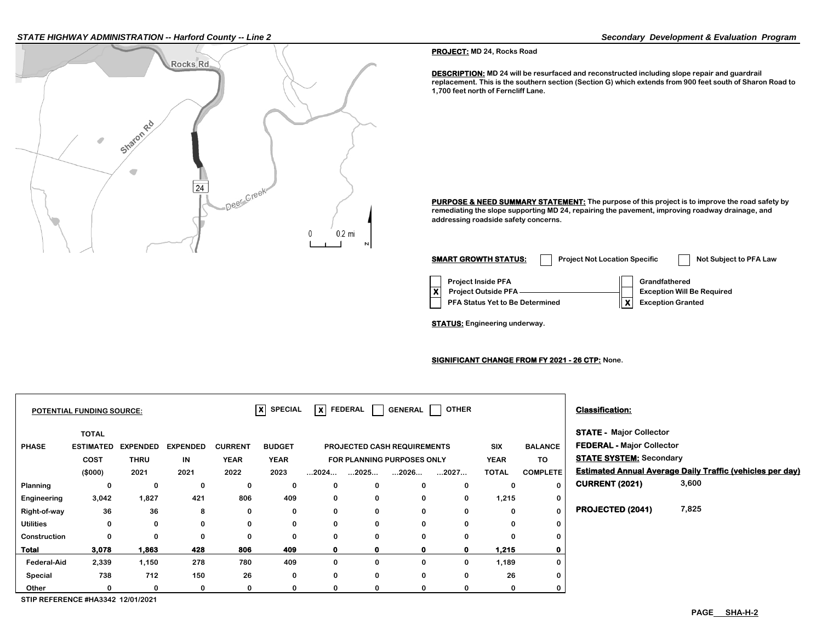#### *STATE HIGHWAY ADMINISTRATION -- Harford County -- Line 2 Secondary Development & Evaluation Program*



**PROJECT: MD 24, Rocks Road**

**DESCRIPTION: MD 24 will be resurfaced and reconstructed including slope repair and guardrail replacement. This is the southern section (Section G) which extends from 900 feet south of Sharon Road to 1,700 feet north of Ferncliff Lane.**

**PURPOSE & NEED SUMMARY STATEMENT:** The purpose of this project is to improve the road safety by **remediating the slope supporting MD 24, repairing the pavement, improving roadway drainage, and addressing roadside safety concerns.**

| <b>SMART GROWTH STATUS:</b>                                                                | <b>Project Not Location Specific</b> | Not Subject to PFA Law                                                         |
|--------------------------------------------------------------------------------------------|--------------------------------------|--------------------------------------------------------------------------------|
| <b>Project Inside PFA</b><br><b>Project Outside PFA</b><br>PFA Status Yet to Be Determined |                                      | Grandfathered<br><b>Exception Will Be Required</b><br><b>Exception Granted</b> |

**STATUS: Engineering underway.**

#### **SIGNIFICANT CHANGE FROM FY 2021 - 26 CTP: None.**

|                  | <b>POTENTIAL FUNDING SOURCE:</b>                |                                |                       |                               | $ X $ SPECIAL                |                      | $\overline{\mathsf{x}}$ FEDERAL $\overline{\phantom{a}}$ | GENERAL                                                          | <b>OTHER</b> |                    |                      | <b>Classification:</b>                                                                        |                                                                  |
|------------------|-------------------------------------------------|--------------------------------|-----------------------|-------------------------------|------------------------------|----------------------|----------------------------------------------------------|------------------------------------------------------------------|--------------|--------------------|----------------------|-----------------------------------------------------------------------------------------------|------------------------------------------------------------------|
| <b>PHASE</b>     | <b>TOTAL</b><br><b>ESTIMATED</b><br><b>COST</b> | <b>EXPENDED</b><br><b>THRU</b> | <b>EXPENDED</b><br>IN | <b>CURRENT</b><br><b>YEAR</b> | <b>BUDGET</b><br><b>YEAR</b> |                      |                                                          | <b>PROJECTED CASH REQUIREMENTS</b><br>FOR PLANNING PURPOSES ONLY |              | SIX<br><b>YEAR</b> | <b>BALANCE</b><br>TO | <b>STATE - Major Collector</b><br>FEDERAL - Major Collector<br><b>STATE SYSTEM: Secondary</b> |                                                                  |
|                  | (\$000)                                         | 2021                           | 2021                  | 2022                          | 2023                         | $\dots$ 2024 $\dots$ | 2025                                                     | 2026                                                             | 2027         | <b>TOTAL</b>       | <b>COMPLETE</b>      |                                                                                               | <b>Estimated Annual Average Daily Traffic (vehicles per day)</b> |
| Planning         | 0                                               | 0                              | 0                     | 0                             | 0                            | 0                    | 0                                                        | $\mathbf 0$                                                      | 0            | 0                  | 0                    | <b>CURRENT (2021)</b>                                                                         | 3,600                                                            |
| Engineering      | 3,042                                           | 1,827                          | 421                   | 806                           | 409                          | 0                    | $\mathbf 0$                                              | $\mathbf 0$                                                      | $\mathbf 0$  | 1,215              | $\mathbf 0$          |                                                                                               |                                                                  |
| Right-of-way     | 36                                              | 36                             | 8                     | 0                             | 0                            | 0                    | 0                                                        | $\mathbf 0$                                                      | 0            | $\bf{0}$           | $\mathbf 0$          | <b>PROJECTED (2041)</b>                                                                       | 7,825                                                            |
| <b>Utilities</b> | 0                                               | 0                              | 0                     | $\bf{0}$                      | $\bf{0}$                     | 0                    | 0                                                        | $\mathbf 0$                                                      | $\bf{0}$     | $\bf{0}$           | 0                    |                                                                                               |                                                                  |
| Construction     | 0                                               | 0                              | 0                     | $\bf{0}$                      | $\mathbf 0$                  | 0                    | 0                                                        | $\bf{0}$                                                         | $\bf{0}$     | $\Omega$           | 0                    |                                                                                               |                                                                  |
| Total            | 3,078                                           | 1,863                          | 428                   | 806                           | 409                          | $\mathbf{0}$         | $\mathbf 0$                                              | $\mathbf 0$                                                      | $\mathbf 0$  | 1,215              | $\mathbf 0$          |                                                                                               |                                                                  |
| Federal-Aid      | 2,339                                           | 1,150                          | 278                   | 780                           | 409                          | 0                    | 0                                                        | 0                                                                | 0            | 1,189              | 0                    |                                                                                               |                                                                  |
| Special          | 738                                             | 712                            | 150                   | 26                            | 0                            | 0                    | 0                                                        | $\mathbf 0$                                                      | $\bf{0}$     | 26                 | 0                    |                                                                                               |                                                                  |
| Other            |                                                 | 0                              | 0                     | 0                             | 0                            | 0                    | 0                                                        | 0                                                                |              | 0                  | 0                    |                                                                                               |                                                                  |

**STIP REFERENCE #HA3342 12/01/2021**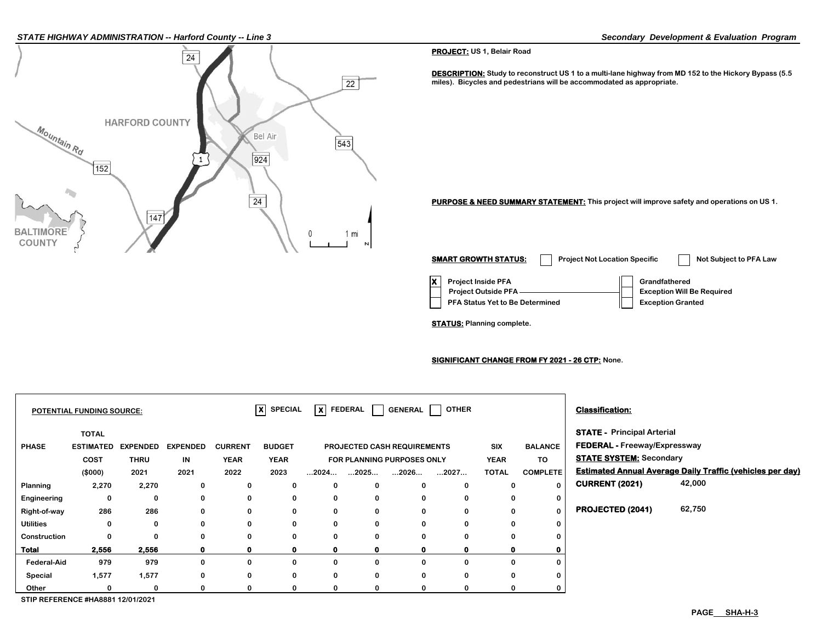#### *STATE HIGHWAY ADMINISTRATION -- Harford County -- Line 3 Secondary Development & Evaluation Program*



#### **PROJECT: US 1, Belair Road**

**DESCRIPTION: Study to reconstruct US 1 to a multi-lane highway from MD 152 to the Hickory Bypass (5.5 miles). Bicycles and pedestrians will be accommodated as appropriate.**

**PURPOSE & NEED SUMMARY STATEMENT: This project will improve safety and operations on US 1.**

| <b>SMART GROWTH STATUS:</b>                                                                       | <b>Project Not Location Specific</b> | Not Subject to PFA Law                                                         |
|---------------------------------------------------------------------------------------------------|--------------------------------------|--------------------------------------------------------------------------------|
| <b>Project Inside PFA</b><br><b>Project Outside PFA</b><br><b>PFA Status Yet to Be Determined</b> |                                      | Grandfathered<br><b>Exception Will Be Required</b><br><b>Exception Granted</b> |

**STATUS: Planning complete.**

#### **SIGNIFICANT CHANGE FROM FY 2021 - 26 CTP: None.**

|                  | <b>POTENTIAL FUNDING SOURCE:</b> |                 |                 |                | $ X $ SPECIAL |                      |             |                                    | $\overline{\mathsf{X}}$ FEDERAL GENERAL OTHER |              |                 | <b>Classification:</b>              |                                                                  |
|------------------|----------------------------------|-----------------|-----------------|----------------|---------------|----------------------|-------------|------------------------------------|-----------------------------------------------|--------------|-----------------|-------------------------------------|------------------------------------------------------------------|
|                  | <b>TOTAL</b>                     |                 |                 |                |               |                      |             |                                    |                                               |              |                 | <b>STATE - Principal Arterial</b>   |                                                                  |
| <b>PHASE</b>     | <b>ESTIMATED</b>                 | <b>EXPENDED</b> | <b>EXPENDED</b> | <b>CURRENT</b> | <b>BUDGET</b> |                      |             | <b>PROJECTED CASH REQUIREMENTS</b> |                                               | <b>SIX</b>   | <b>BALANCE</b>  | <b>FEDERAL - Freeway/Expressway</b> |                                                                  |
|                  | COST                             | <b>THRU</b>     | IN              | <b>YEAR</b>    | <b>YEAR</b>   |                      |             | FOR PLANNING PURPOSES ONLY         |                                               | <b>YEAR</b>  | TO              | <b>STATE SYSTEM: Secondary</b>      |                                                                  |
|                  | (\$000)                          | 2021            | 2021            | 2022           | 2023          | $\dots$ 2024 $\dots$ | 2025        | 2026                               | 2027                                          | <b>TOTAL</b> | <b>COMPLETE</b> |                                     | <b>Estimated Annual Average Daily Traffic (vehicles per day)</b> |
| Planning         | 2,270                            | 2,270           | 0               | 0              | 0             | 0                    | 0           | 0                                  | 0                                             | $\bf{0}$     | $\mathbf{0}$    | <b>CURRENT (2021)</b>               | 42,000                                                           |
| Engineering      | 0                                | 0               | 0               | 0              | 0             | 0                    | 0           | 0                                  | 0                                             | 0            | 0               |                                     |                                                                  |
| Right-of-way     | 286                              | 286             | 0               | 0              | 0             | 0                    | 0           | 0                                  | 0                                             | 0            | 0               | <b>PROJECTED (2041)</b>             | 62,750                                                           |
| <b>Utilities</b> | 0                                | 0               | 0               | 0              | 0             | 0                    | $\mathbf 0$ | 0                                  | 0                                             | $\Omega$     | 0               |                                     |                                                                  |
| Construction     | 0                                | 0               | 0               | 0              | 0             | 0                    | 0           | $\bf{0}$                           | 0                                             | 0            | 0               |                                     |                                                                  |
| <b>Total</b>     | 2,556                            | 2,556           | $\mathbf{0}$    | 0              | 0             | $\mathbf{0}$         | 0           | 0                                  | 0                                             | 0            |                 |                                     |                                                                  |
| Federal-Aid      | 979                              | 979             | 0               | 0              | 0             | 0                    | 0           | 0                                  | 0                                             | 0            | 0               |                                     |                                                                  |
| Special          | 1,577                            | 1,577           | 0               | 0              | 0             | $\mathbf 0$          | 0           | 0                                  | 0                                             | $\Omega$     | 0               |                                     |                                                                  |
| Other            | 0                                | 0               | 0               | 0              | 0             | 0                    | 0           |                                    | 0                                             |              | 0               |                                     |                                                                  |

**STIP REFERENCE #HA8881 12/01/2021**